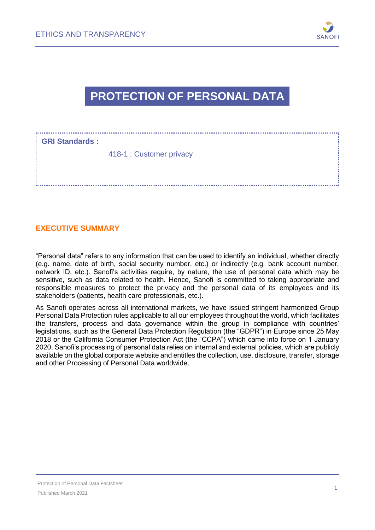

## **PROTECTION OF PERSONAL DATA**

| <b>GRI Standards:</b> |                          |
|-----------------------|--------------------------|
|                       | 418-1 : Customer privacy |

#### **EXECUTIVE SUMMARY**

"Personal data" refers to any information that can be used to identify an individual, whether directly (e.g. name, date of birth, social security number, etc.) or indirectly (e.g. bank account number, network ID, etc.). Sanofi's activities require, by nature, the use of personal data which may be sensitive, such as data related to health. Hence, Sanofi is committed to taking appropriate and responsible measures to protect the privacy and the personal data of its employees and its stakeholders (patients, health care professionals, etc.).

As Sanofi operates across all international markets, we have issued stringent harmonized Group Personal Data Protection rules applicable to all our employees throughout the world, which facilitates the transfers, process and data governance within the group in compliance with countries' legislations, such as the General Data Protection Regulation (the "GDPR") in Europe since 25 May 2018 or the California Consumer Protection Act (the "CCPA") which came into force on 1 January 2020. Sanofi's processing of personal data relies on internal and external policies, which are publicly available on the global corporate website and entitles the collection, use, disclosure, transfer, storage and other Processing of Personal Data worldwide.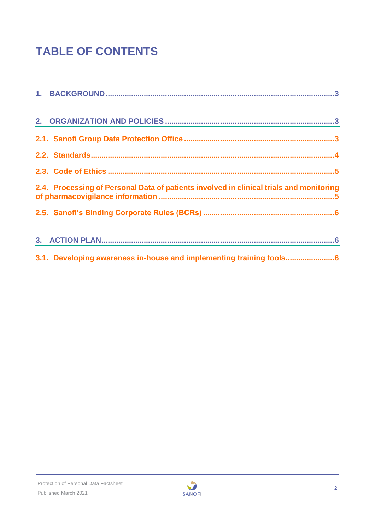# **TABLE OF CONTENTS**

| 2.4. Processing of Personal Data of patients involved in clinical trials and monitoring |
|-----------------------------------------------------------------------------------------|
|                                                                                         |
|                                                                                         |
| 3.1. Developing awareness in-house and implementing training tools                      |

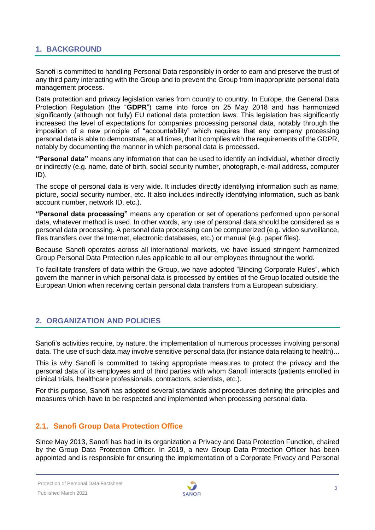### <span id="page-2-0"></span>**1. BACKGROUND**

Sanofi is committed to handling Personal Data responsibly in order to earn and preserve the trust of any third party interacting with the Group and to prevent the Group from inappropriate personal data management process.

Data protection and privacy legislation varies from country to country. In Europe, the General Data Protection Regulation (the "**GDPR**") came into force on 25 May 2018 and has harmonized significantly (although not fully) EU national data protection laws. This legislation has significantly increased the level of expectations for companies processing personal data, notably through the imposition of a new principle of "accountability" which requires that any company processing personal data is able to demonstrate, at all times, that it complies with the requirements of the GDPR, notably by documenting the manner in which personal data is processed.

**"Personal data"** means any information that can be used to identify an individual, whether directly or indirectly (e.g. name, date of birth, social security number, photograph, e-mail address, computer ID).

The scope of personal data is very wide. It includes directly identifying information such as name, picture, social security number, etc. It also includes indirectly identifying information, such as bank account number, network ID, etc.).

**"Personal data processing"** means any operation or set of operations performed upon personal data, whatever method is used. In other words, any use of personal data should be considered as a personal data processing. A personal data processing can be computerized (e.g. video surveillance, files transfers over the Internet, electronic databases, etc.) or manual (e.g. paper files).

Because Sanofi operates across all international markets, we have issued stringent harmonized Group Personal Data Protection rules applicable to all our employees throughout the world.

To facilitate transfers of data within the Group, we have adopted "Binding Corporate Rules", which govern the manner in which personal data is processed by entities of the Group located outside the European Union when receiving certain personal data transfers from a European subsidiary.

#### <span id="page-2-1"></span>**2. ORGANIZATION AND POLICIES**

Sanofi's activities require, by nature, the implementation of numerous processes involving personal data. The use of such data may involve sensitive personal data (for instance data relating to health)...

This is why Sanofi is committed to taking appropriate measures to protect the privacy and the personal data of its employees and of third parties with whom Sanofi interacts (patients enrolled in clinical trials, healthcare professionals, contractors, scientists, etc.).

For this purpose, Sanofi has adopted several standards and procedures defining the principles and measures which have to be respected and implemented when processing personal data.

#### <span id="page-2-2"></span>**2.1. Sanofi Group Data Protection Office**

Since May 2013, Sanofi has had in its organization a Privacy and Data Protection Function, chaired by the Group Data Protection Officer. In 2019, a new Group Data Protection Officer has been appointed and is responsible for ensuring the implementation of a Corporate Privacy and Personal

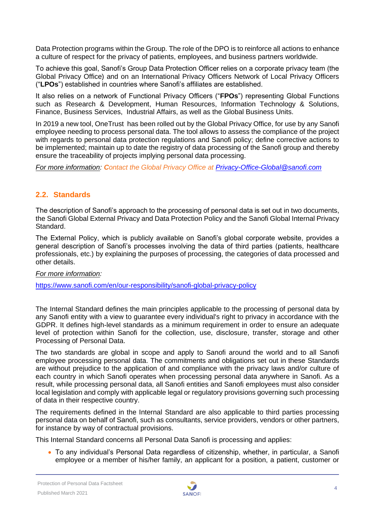Data Protection programs within the Group. The role of the DPO is to reinforce all actions to enhance a culture of respect for the privacy of patients, employees, and business partners worldwide.

To achieve this goal, Sanofi's Group Data Protection Officer relies on a corporate privacy team (the Global Privacy Office) and on an International Privacy Officers Network of Local Privacy Officers ("**LPOs**") established in countries where Sanofi's affiliates are established.

It also relies on a network of Functional Privacy Officers ("**FPOs**") representing Global Functions such as Research & Development, Human Resources, Information Technology & Solutions, Finance, Business Services, Industrial Affairs, as well as the Global Business Units.

In 2019 a new tool, OneTrust has been rolled out by the Global Privacy Office, for use by any Sanofi employee needing to process personal data. The tool allows to assess the compliance of the project with regards to personal data protection regulations and Sanofi policy; define corrective actions to be implemented; maintain up to date the registry of data processing of the Sanofi group and thereby ensure the traceability of projects implying personal data processing.

<span id="page-3-0"></span>*For more information: Contact the Global Privacy Office at [Privacy-Office-Global@sanofi.com](mailto:Privacy-Office-Global@sanofi.com)*

#### **2.2. Standards**

The description of Sanofi's approach to the processing of personal data is set out in two documents, the Sanofi Global External Privacy and Data Protection Policy and the Sanofi Global Internal Privacy Standard.

The External Policy, which is publicly available on Sanofi's global corporate website, provides a general description of Sanofi's processes involving the data of third parties (patients, healthcare professionals, etc.) by explaining the purposes of processing, the categories of data processed and other details.

*For more information:*

<https://www.sanofi.com/en/our-responsibility/sanofi-global-privacy-policy>

The Internal Standard defines the main principles applicable to the processing of personal data by any Sanofi entity with a view to guarantee every individual's right to privacy in accordance with the GDPR. It defines high-level standards as a minimum requirement in order to ensure an adequate level of protection within Sanofi for the collection, use, disclosure, transfer, storage and other Processing of Personal Data.

The two standards are global in scope and apply to Sanofi around the world and to all Sanofi employee processing personal data. The commitments and obligations set out in these Standards are without prejudice to the application of and compliance with the privacy laws and/or culture of each country in which Sanofi operates when processing personal data anywhere in Sanofi. As a result, while processing personal data, all Sanofi entities and Sanofi employees must also consider local legislation and comply with applicable legal or regulatory provisions governing such processing of data in their respective country.

The requirements defined in the Internal Standard are also applicable to third parties processing personal data on behalf of Sanofi, such as consultants, service providers, vendors or other partners, for instance by way of contractual provisions.

This Internal Standard concerns all Personal Data Sanofi is processing and applies:

• To any individual's Personal Data regardless of citizenship, whether, in particular, a Sanofi employee or a member of his/her family, an applicant for a position, a patient, customer or

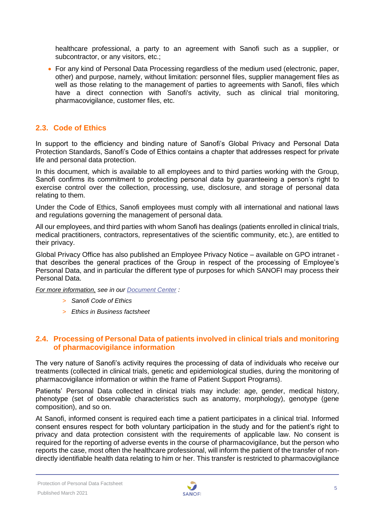healthcare professional, a party to an agreement with Sanofi such as a supplier, or subcontractor, or any visitors, etc.;

• For any kind of Personal Data Processing regardless of the medium used (electronic, paper, other) and purpose, namely, without limitation: personnel files, supplier management files as well as those relating to the management of parties to agreements with Sanofi, files which have a direct connection with Sanofi's activity, such as clinical trial monitoring, pharmacovigilance, customer files, etc.

#### <span id="page-4-0"></span>**2.3. Code of Ethics**

In support to the efficiency and binding nature of Sanofi's Global Privacy and Personal Data Protection Standards, Sanofi's Code of Ethics contains a chapter that addresses respect for private life and personal data protection.

In this document, which is available to all employees and to third parties working with the Group, Sanofi confirms its commitment to protecting personal data by guaranteeing a person's right to exercise control over the collection, processing, use, disclosure, and storage of personal data relating to them.

Under the Code of Ethics, Sanofi employees must comply with all international and national laws and regulations governing the management of personal data.

All our employees, and third parties with whom Sanofi has dealings (patients enrolled in clinical trials, medical practitioners, contractors, representatives of the scientific community, etc.), are entitled to their privacy.

Global Privacy Office has also published an Employee Privacy Notice – available on GPO intranet that describes the general practices of the Group in respect of the processing of Employee's Personal Data, and in particular the different type of purposes for which SANOFI may process their Personal Data.

*For more information, see in our [Document](https://www.sanofi.com/en/our-responsibility/documents-center) Center :*

- > *Sanofi Code of Ethics*
- > *Ethics in Business factsheet*

#### <span id="page-4-1"></span>**2.4. Processing of Personal Data of patients involved in clinical trials and monitoring of pharmacovigilance information**

The very nature of Sanofi's activity requires the processing of data of individuals who receive our treatments (collected in clinical trials, genetic and epidemiological studies, during the monitoring of pharmacovigilance information or within the frame of Patient Support Programs).

Patients' Personal Data collected in clinical trials may include: age, gender, medical history, phenotype (set of observable characteristics such as anatomy, morphology), genotype (gene composition), and so on.

At Sanofi, informed consent is required each time a patient participates in a clinical trial. Informed consent ensures respect for both voluntary participation in the study and for the patient's right to privacy and data protection consistent with the requirements of applicable law. No consent is required for the reporting of adverse events in the course of pharmacovigilance, but the person who reports the case, most often the healthcare professional, will inform the patient of the transfer of nondirectly identifiable health data relating to him or her. This transfer is restricted to pharmacovigilance

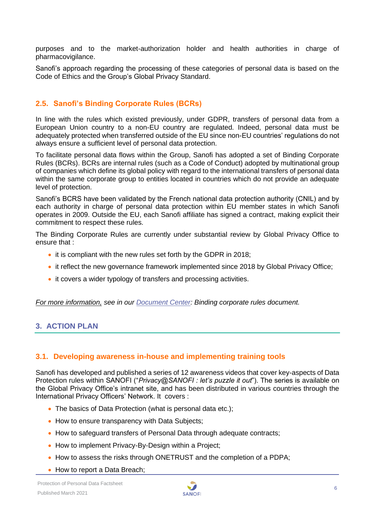purposes and to the market-authorization holder and health authorities in charge of pharmacovigilance.

Sanofi's approach regarding the processing of these categories of personal data is based on the Code of Ethics and the Group's Global Privacy Standard.

### <span id="page-5-0"></span>**2.5. Sanofi's Binding Corporate Rules (BCRs)**

In line with the rules which existed previously, under GDPR, transfers of personal data from a European Union country to a non-EU country are regulated. Indeed, personal data must be adequately protected when transferred outside of the EU since non-EU countries' regulations do not always ensure a sufficient level of personal data protection.

To facilitate personal data flows within the Group, Sanofi has adopted a set of Binding Corporate Rules (BCRs). BCRs are internal rules (such as a Code of Conduct) adopted by multinational group of companies which define its global policy with regard to the international transfers of personal data within the same corporate group to entities located in countries which do not provide an adequate level of protection.

Sanofi's BCRS have been validated by the French national data protection authority (CNIL) and by each authority in charge of personal data protection within EU member states in which Sanofi operates in 2009. Outside the EU, each Sanofi affiliate has signed a contract, making explicit their commitment to respect these rules.

The Binding Corporate Rules are currently under substantial review by Global Privacy Office to ensure that :

- it is compliant with the new rules set forth by the GDPR in 2018;
- it reflect the new governance framework implemented since 2018 by Global Privacy Office:
- it covers a wider typology of transfers and processing activities.

*For more information, see in our [Document](https://www.sanofi.com/en/our-responsibility/documents-center) Center: Binding corporate rules document.*

#### <span id="page-5-1"></span>**3. ACTION PLAN**

#### <span id="page-5-2"></span>**3.1. Developing awareness in-house and implementing training tools**

Sanofi has developed and published a series of 12 awareness videos that cover key-aspects of Data Protection rules within SANOFI ("*Privacy@SANOFI : let's puzzle it out*"). The series is available on the Global Privacy Office's intranet site, and has been distributed in various countries through the International Privacy Officers' Network. It covers :

- The basics of Data Protection (what is personal data etc.);
- How to ensure transparency with Data Subjects;
- How to safeguard transfers of Personal Data through adequate contracts;
- How to implement Privacy-By-Design within a Project;
- How to assess the risks through ONETRUST and the completion of a PDPA;
- How to report a Data Breach;